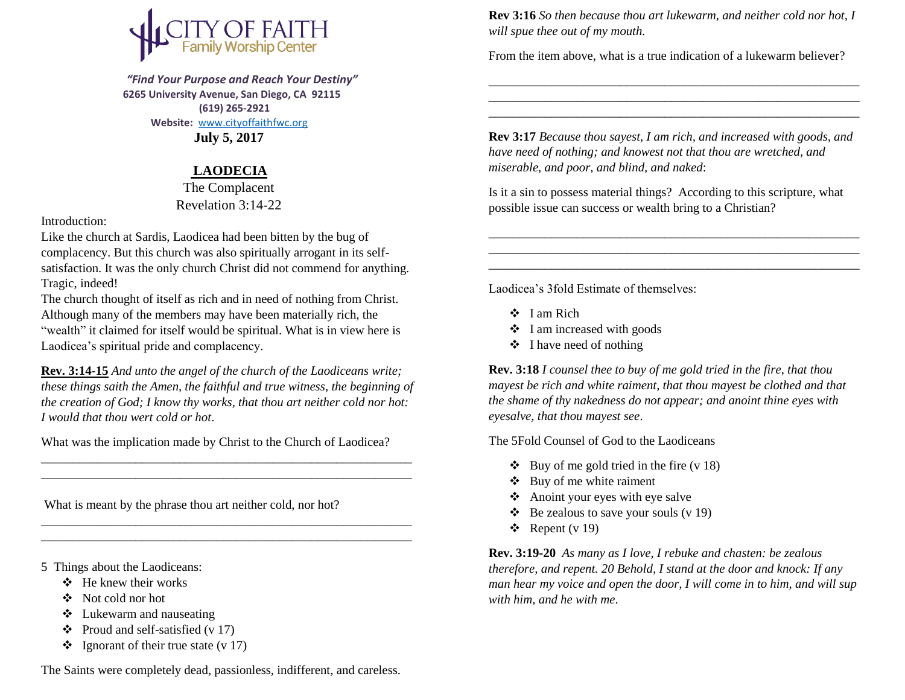

 *"Find Your Purpose and Reach Your Destiny"*  **6265 University Avenue, San Diego, CA 92115 (619) 265-2921 Website:** [www.cityoffaithfwc.org](http://www.cityoffaithfwc.org/) **July 5, 2017**

## **LAODECIA**

The Complacent Revelation 3:14-22

Introduction:

Like the church at Sardis, Laodicea had been bitten by the bug of complacency. But this church was also spiritually arrogant in its selfsatisfaction. It was the only church Christ did not commend for anything. Tragic, indeed!

The church thought of itself as rich and in need of nothing from Christ. Although many of the members may have been materially rich, the "wealth" it claimed for itself would be spiritual. What is in view here is Laodicea's spiritual pride and complacency.

**Rev. 3:14-15** *And unto the angel of the church of the Laodiceans write; these things saith the Amen, the faithful and true witness, the beginning of the creation of God; I know thy works, that thou art neither cold nor hot: I would that thou wert cold or hot*.

What was the implication made by Christ to the Church of Laodicea?

\_\_\_\_\_\_\_\_\_\_\_\_\_\_\_\_\_\_\_\_\_\_\_\_\_\_\_\_\_\_\_\_\_\_\_\_\_\_\_\_\_\_\_\_\_\_\_\_\_\_\_\_\_\_\_\_\_\_\_ \_\_\_\_\_\_\_\_\_\_\_\_\_\_\_\_\_\_\_\_\_\_\_\_\_\_\_\_\_\_\_\_\_\_\_\_\_\_\_\_\_\_\_\_\_\_\_\_\_\_\_\_\_\_\_\_\_\_\_

\_\_\_\_\_\_\_\_\_\_\_\_\_\_\_\_\_\_\_\_\_\_\_\_\_\_\_\_\_\_\_\_\_\_\_\_\_\_\_\_\_\_\_\_\_\_\_\_\_\_\_\_\_\_\_\_\_\_\_ \_\_\_\_\_\_\_\_\_\_\_\_\_\_\_\_\_\_\_\_\_\_\_\_\_\_\_\_\_\_\_\_\_\_\_\_\_\_\_\_\_\_\_\_\_\_\_\_\_\_\_\_\_\_\_\_\_\_\_

What is meant by the phrase thou art neither cold, nor hot?

- 5 Things about the Laodiceans:
	- $\div$  He knew their works
	- Not cold nor hot
	- Lukewarm and nauseating
	- $\div$  Proud and self-satisfied (v 17)
	- $\bullet$  Ignorant of their true state (v 17)

The Saints were completely dead, passionless, indifferent, and careless.

**Rev 3:16** *So then because thou art lukewarm, and neither cold nor hot, I will spue thee out of my mouth.*

\_\_\_\_\_\_\_\_\_\_\_\_\_\_\_\_\_\_\_\_\_\_\_\_\_\_\_\_\_\_\_\_\_\_\_\_\_\_\_\_\_\_\_\_\_\_\_\_\_\_\_\_\_\_\_\_\_\_\_ \_\_\_\_\_\_\_\_\_\_\_\_\_\_\_\_\_\_\_\_\_\_\_\_\_\_\_\_\_\_\_\_\_\_\_\_\_\_\_\_\_\_\_\_\_\_\_\_\_\_\_\_\_\_\_\_\_\_\_ \_\_\_\_\_\_\_\_\_\_\_\_\_\_\_\_\_\_\_\_\_\_\_\_\_\_\_\_\_\_\_\_\_\_\_\_\_\_\_\_\_\_\_\_\_\_\_\_\_\_\_\_\_\_\_\_\_\_\_

From the item above, what is a true indication of a lukewarm believer?

**Rev 3:17** *Because thou sayest, I am rich, and increased with goods, and have need of nothing; and knowest not that thou are wretched, and miserable, and poor, and blind, and naked*:

Is it a sin to possess material things? According to this scripture, what possible issue can success or wealth bring to a Christian?

\_\_\_\_\_\_\_\_\_\_\_\_\_\_\_\_\_\_\_\_\_\_\_\_\_\_\_\_\_\_\_\_\_\_\_\_\_\_\_\_\_\_\_\_\_\_\_\_\_\_\_\_\_\_\_\_\_\_\_

\_\_\_\_\_\_\_\_\_\_\_\_\_\_\_\_\_\_\_\_\_\_\_\_\_\_\_\_\_\_\_\_\_\_\_\_\_\_\_\_\_\_\_\_\_\_\_\_\_\_\_\_\_\_\_\_\_\_\_

Laodicea's 3fold Estimate of themselves:

- $\div$  I am Rich
- $\div$  I am increased with goods
- $\triangleleft$  I have need of nothing

**Rev. 3:18** *I counsel thee to buy of me gold tried in the fire, that thou mayest be rich and white raiment, that thou mayest be clothed and that the shame of thy nakedness do not appear; and anoint thine eyes with eyesalve, that thou mayest see*.

The 5Fold Counsel of God to the Laodiceans

- $\bullet$  Buy of me gold tried in the fire (v 18)
- $\triangleleft$  Buy of me white raiment
- Anoint your eyes with eye salve
- $\triangleleft$  Be zealous to save your souls (v 19)
- $\div$  Repent (v 19)

**Rev. 3:19-20** *As many as I love, I rebuke and chasten: be zealous therefore, and repent. 20 Behold, I stand at the door and knock: If any man hear my voice and open the door, I will come in to him, and will sup with him, and he with me*.